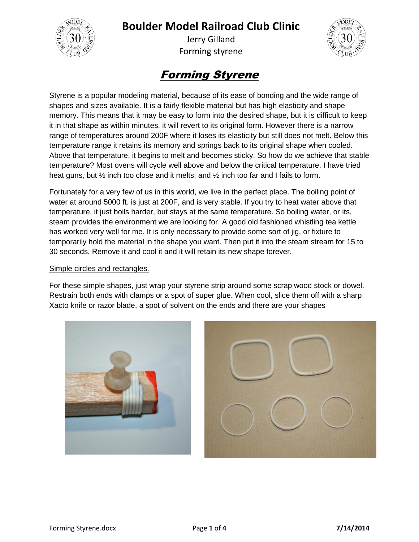

Jerry Gilland Forming styrene



# Forming Styrene

Styrene is a popular modeling material, because of its ease of bonding and the wide range of shapes and sizes available. It is a fairly flexible material but has high elasticity and shape memory. This means that it may be easy to form into the desired shape, but it is difficult to keep it in that shape as within minutes, it will revert to its original form. However there is a narrow range of temperatures around 200F where it loses its elasticity but still does not melt. Below this temperature range it retains its memory and springs back to its original shape when cooled. Above that temperature, it begins to melt and becomes sticky. So how do we achieve that stable temperature? Most ovens will cycle well above and below the critical temperature. I have tried heat guns, but ½ inch too close and it melts, and ½ inch too far and I fails to form.

Fortunately for a very few of us in this world, we live in the perfect place. The boiling point of water at around 5000 ft. is just at 200F, and is very stable. If you try to heat water above that temperature, it just boils harder, but stays at the same temperature. So boiling water, or its, steam provides the environment we are looking for. A good old fashioned whistling tea kettle has worked very well for me. It is only necessary to provide some sort of jig, or fixture to temporarily hold the material in the shape you want. Then put it into the steam stream for 15 to 30 seconds. Remove it and cool it and it will retain its new shape forever.

#### Simple circles and rectangles.

For these simple shapes, just wrap your styrene strip around some scrap wood stock or dowel. Restrain both ends with clamps or a spot of super glue. When cool, slice them off with a sharp Xacto knife or razor blade, a spot of solvent on the ends and there are your shapes



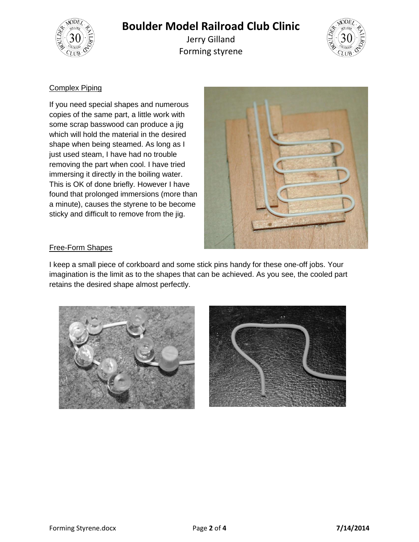

Jerry Gilland Forming styrene



#### Complex Piping

If you need special shapes and numerous copies of the same part, a little work with some scrap basswood can produce a jig which will hold the material in the desired shape when being steamed. As long as I just used steam, I have had no trouble removing the part when cool. I have tried immersing it directly in the boiling water. This is OK of done briefly. However I have found that prolonged immersions (more than a minute), causes the styrene to be become sticky and difficult to remove from the jig.



#### Free-Form Shapes

I keep a small piece of corkboard and some stick pins handy for these one-off jobs. Your imagination is the limit as to the shapes that can be achieved. As you see, the cooled part retains the desired shape almost perfectly.



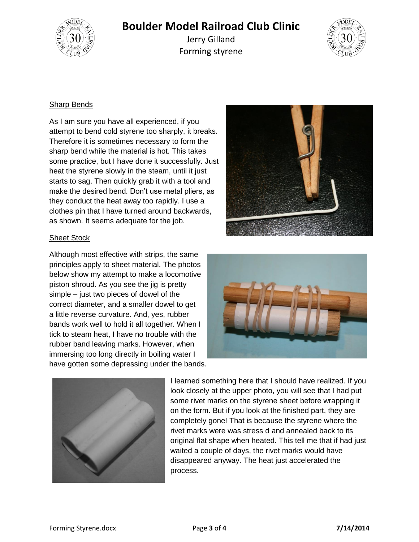

Jerry Gilland Forming styrene



#### **Sharp Bends**

As I am sure you have all experienced, if you attempt to bend cold styrene too sharply, it breaks. Therefore it is sometimes necessary to form the sharp bend while the material is hot. This takes some practice, but I have done it successfully. Just heat the styrene slowly in the steam, until it just starts to sag. Then quickly grab it with a tool and make the desired bend. Don't use metal pliers, as they conduct the heat away too rapidly. I use a clothes pin that I have turned around backwards, as shown. It seems adequate for the job.



#### Sheet Stock

Although most effective with strips, the same principles apply to sheet material. The photos below show my attempt to make a locomotive piston shroud. As you see the jig is pretty simple – just two pieces of dowel of the correct diameter, and a smaller dowel to get a little reverse curvature. And, yes, rubber bands work well to hold it all together. When I tick to steam heat, I have no trouble with the rubber band leaving marks. However, when immersing too long directly in boiling water I have gotten some depressing under the bands.





I learned something here that I should have realized. If you look closely at the upper photo, you will see that I had put some rivet marks on the styrene sheet before wrapping it on the form. But if you look at the finished part, they are completely gone! That is because the styrene where the rivet marks were was stress d and annealed back to its original flat shape when heated. This tell me that if had just waited a couple of days, the rivet marks would have disappeared anyway. The heat just accelerated the process.